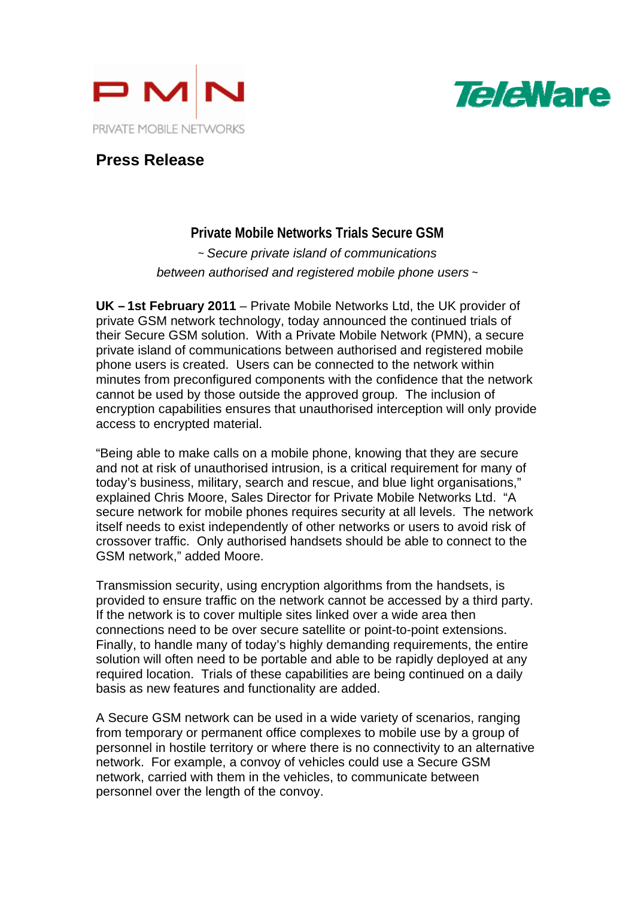



## **Press Release**

**Private Mobile Networks Trials Secure GSM**  ~ *Secure private island of communications between authorised and registered mobile phone users* ~

**UK – 1st February 2011** – Private Mobile Networks Ltd, the UK provider of private GSM network technology, today announced the continued trials of their Secure GSM solution. With a Private Mobile Network (PMN), a secure private island of communications between authorised and registered mobile phone users is created. Users can be connected to the network within minutes from preconfigured components with the confidence that the network cannot be used by those outside the approved group. The inclusion of encryption capabilities ensures that unauthorised interception will only provide access to encrypted material.

"Being able to make calls on a mobile phone, knowing that they are secure and not at risk of unauthorised intrusion, is a critical requirement for many of today's business, military, search and rescue, and blue light organisations," explained Chris Moore, Sales Director for Private Mobile Networks Ltd. "A secure network for mobile phones requires security at all levels. The network itself needs to exist independently of other networks or users to avoid risk of crossover traffic. Only authorised handsets should be able to connect to the GSM network," added Moore.

Transmission security, using encryption algorithms from the handsets, is provided to ensure traffic on the network cannot be accessed by a third party. If the network is to cover multiple sites linked over a wide area then connections need to be over secure satellite or point-to-point extensions. Finally, to handle many of today's highly demanding requirements, the entire solution will often need to be portable and able to be rapidly deployed at any required location. Trials of these capabilities are being continued on a daily basis as new features and functionality are added.

A Secure GSM network can be used in a wide variety of scenarios, ranging from temporary or permanent office complexes to mobile use by a group of personnel in hostile territory or where there is no connectivity to an alternative network. For example, a convoy of vehicles could use a Secure GSM network, carried with them in the vehicles, to communicate between personnel over the length of the convoy.